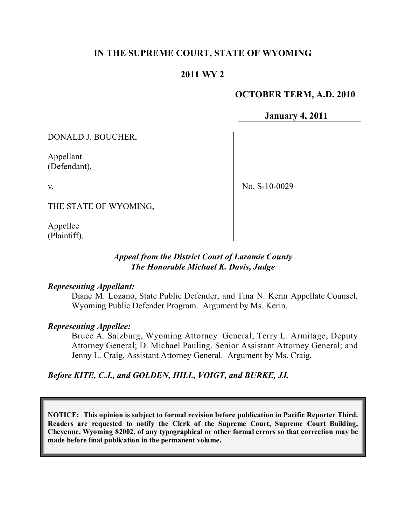## **IN THE SUPREME COURT, STATE OF WYOMING**

### **2011 WY 2**

### **OCTOBER TERM, A.D. 2010**

**January 4, 2011**

DONALD J. BOUCHER,

Appellant (Defendant),

v.

No. S-10-0029

THE STATE OF WYOMING,

Appellee (Plaintiff).

#### *Appeal from the District Court of Laramie County The Honorable Michael K. Davis, Judge*

#### *Representing Appellant:*

Diane M. Lozano, State Public Defender, and Tina N. Kerin Appellate Counsel, Wyoming Public Defender Program. Argument by Ms. Kerin.

#### *Representing Appellee:*

Bruce A. Salzburg, Wyoming Attorney General; Terry L. Armitage, Deputy Attorney General; D. Michael Pauling, Senior Assistant Attorney General; and Jenny L. Craig, Assistant Attorney General. Argument by Ms. Craig.

*Before KITE, C.J., and GOLDEN, HILL, VOIGT, and BURKE, JJ.*

**NOTICE: This opinion is subject to formal revision before publication in Pacific Reporter Third. Readers are requested to notify the Clerk of the Supreme Court, Supreme Court Building, Cheyenne, Wyoming 82002, of any typographical or other formal errors so that correction may be made before final publication in the permanent volume.**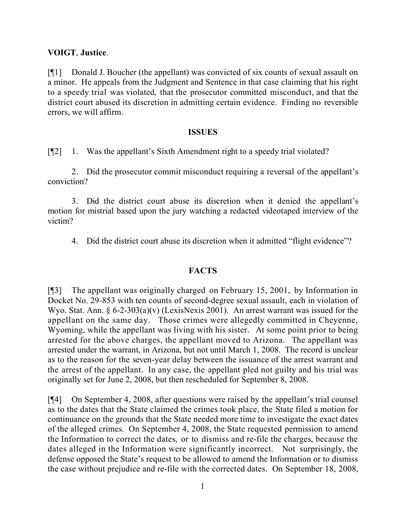#### **VOIGT**, **Justice**.

[¶1] Donald J. Boucher (the appellant) was convicted of six counts of sexual assault on a minor. He appeals from the Judgment and Sentence in that case claiming that his right to a speedy trial was violated, that the prosecutor committed misconduct, and that the district court abused its discretion in admitting certain evidence. Finding no reversible errors, we will affirm.

#### **ISSUES**

[¶2] 1. Was the appellant's Sixth Amendment right to a speedy trial violated?

2. Did the prosecutor commit misconduct requiring a reversal of the appellant's conviction?

3. Did the district court abuse its discretion when it denied the appellant's motion for mistrial based upon the jury watching a redacted videotaped interview of the victim?

4. Did the district court abuse its discretion when it admitted "flight evidence"?

### **FACTS**

[¶3] The appellant was originally charged on February 15, 2001, by Information in Docket No. 29-853 with ten counts of second-degree sexual assault, each in violation of Wyo. Stat. Ann.  $\S 6$ -2-303(a)(v) (LexisNexis 2001). An arrest warrant was issued for the appellant on the same day. Those crimes were allegedly committed in Cheyenne, Wyoming, while the appellant was living with his sister. At some point prior to being arrested for the above charges, the appellant moved to Arizona. The appellant was arrested under the warrant, in Arizona, but not until March 1, 2008. The record is unclear as to the reason for the seven-year delay between the issuance of the arrest warrant and the arrest of the appellant. In any case, the appellant pled not guilty and his trial was originally set for June 2, 2008, but then rescheduled for September 8, 2008.

[¶4] On September 4, 2008, after questions were raised by the appellant's trial counsel as to the dates that the State claimed the crimes took place, the State filed a motion for continuance on the grounds that the State needed more time to investigate the exact dates of the alleged crimes. On September 4, 2008, the State requested permission to amend the Information to correct the dates, or to dismiss and re-file the charges, because the dates alleged in the Information were significantly incorrect. Not surprisingly, the defense opposed the State's request to be allowed to amend the Information or to dismiss the case without prejudice and re-file with the corrected dates. On September 18, 2008,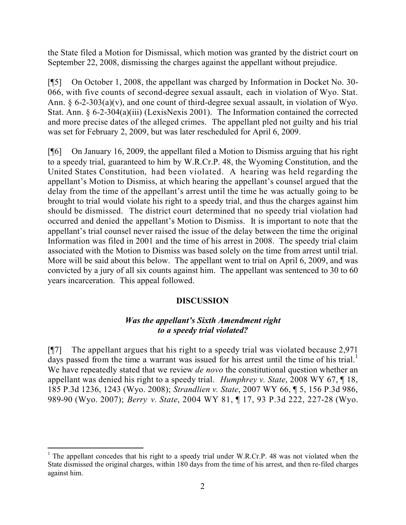the State filed a Motion for Dismissal, which motion was granted by the district court on September 22, 2008, dismissing the charges against the appellant without prejudice.

[¶5] On October 1, 2008, the appellant was charged by Information in Docket No. 30- 066, with five counts of second-degree sexual assault, each in violation of Wyo. Stat. Ann. § 6-2-303(a)(v), and one count of third-degree sexual assault, in violation of Wyo. Stat. Ann. § 6-2-304(a)(iii) (LexisNexis 2001). The Information contained the corrected and more precise dates of the alleged crimes. The appellant pled not guilty and his trial was set for February 2, 2009, but was later rescheduled for April 6, 2009.

[¶6] On January 16, 2009, the appellant filed a Motion to Dismiss arguing that his right to a speedy trial, guaranteed to him by W.R.Cr.P. 48, the Wyoming Constitution, and the United States Constitution, had been violated. A hearing was held regarding the appellant's Motion to Dismiss, at which hearing the appellant's counsel argued that the delay from the time of the appellant's arrest until the time he was actually going to be brought to trial would violate his right to a speedy trial, and thus the charges against him should be dismissed. The district court determined that no speedy trial violation had occurred and denied the appellant's Motion to Dismiss. It is important to note that the appellant's trial counsel never raised the issue of the delay between the time the original Information was filed in 2001 and the time of his arrest in 2008. The speedy trial claim associated with the Motion to Dismiss was based solely on the time from arrest until trial. More will be said about this below. The appellant went to trial on April 6, 2009, and was convicted by a jury of all six counts against him. The appellant was sentenced to 30 to 60 years incarceration. This appeal followed.

### **DISCUSSION**

#### *Was the appellant's Sixth Amendment right to a speedy trial violated?*

[¶7] The appellant argues that his right to a speedy trial was violated because 2,971 days passed from the time a warrant was issued for his arrest until the time of his trial.<sup>1</sup> We have repeatedly stated that we review *de novo* the constitutional question whether an appellant was denied his right to a speedy trial. *Humphrey v. State*, 2008 WY 67, ¶ 18, 185 P.3d 1236, 1243 (Wyo. 2008); *Strandlien v. State*, 2007 WY 66, ¶ 5, 156 P.3d 986, 989-90 (Wyo. 2007); *Berry v. State*, 2004 WY 81, ¶ 17, 93 P.3d 222, 227-28 (Wyo.

l <sup>1</sup> The appellant concedes that his right to a speedy trial under W.R.Cr.P. 48 was not violated when the State dismissed the original charges, within 180 days from the time of his arrest, and then re-filed charges against him.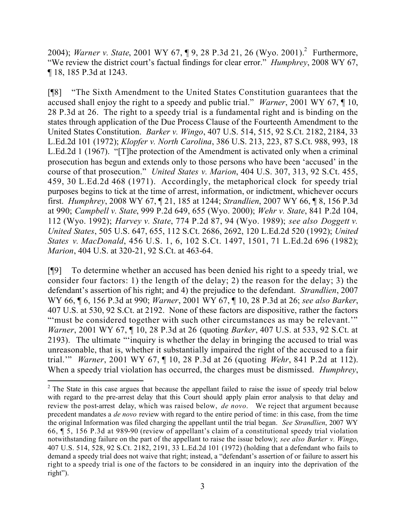2004); *Warner v. State*, 2001 WY 67, ¶ 9, 28 P.3d 21, 26 (Wyo. 2001).<sup>2</sup> Furthermore, "We review the district court's factual findings for clear error." *Humphrey*, 2008 WY 67, ¶ 18, 185 P.3d at 1243.

[¶8] "The Sixth Amendment to the United States Constitution guarantees that the accused shall enjoy the right to a speedy and public trial." *Warner*, 2001 WY 67, ¶ 10, 28 P.3d at 26. The right to a speedy trial is a fundamental right and is binding on the states through application of the Due Process Clause of the Fourteenth Amendment to the United States Constitution. *Barker v. Wingo*, 407 U.S. 514, 515, 92 S.Ct. 2182, 2184, 33 L.Ed.2d 101 (1972); *Klopfer v. North Carolina*, 386 U.S. 213, 223, 87 S.Ct. 988, 993, 18 L.Ed.2d 1 (1967). "[T]he protection of the Amendment is activated only when a criminal prosecution has begun and extends only to those persons who have been 'accused' in the course of that prosecution." *United States v. Marion*, 404 U.S. 307, 313, 92 S.Ct. 455, 459, 30 L.Ed.2d 468 (1971). Accordingly, the metaphorical clock for speedy trial purposes begins to tick at the time of arrest, information, or indictment, whichever occurs first. *Humphrey*, 2008 WY 67, ¶ 21, 185 at 1244; *Strandlien*, 2007 WY 66, ¶ 8, 156 P.3d at 990; *Campbell v. State*, 999 P.2d 649, 655 (Wyo. 2000); *Wehr v. State*, 841 P.2d 104, 112 (Wyo. 1992); *Harvey v. State*, 774 P.2d 87, 94 (Wyo. 1989); *see also Doggett v. United States*, 505 U.S. 647, 655, 112 S.Ct. 2686, 2692, 120 L.Ed.2d 520 (1992); *United States v. MacDonald*, 456 U.S. 1, 6, 102 S.Ct. 1497, 1501, 71 L.Ed.2d 696 (1982); *Marion*, 404 U.S. at 320-21, 92 S.Ct. at 463-64.

[¶9] To determine whether an accused has been denied his right to a speedy trial, we consider four factors: 1) the length of the delay; 2) the reason for the delay; 3) the defendant's assertion of his right; and 4) the prejudice to the defendant. *Strandlien*, 2007 WY 66, ¶ 6, 156 P.3d at 990; *Warner*, 2001 WY 67, ¶ 10, 28 P.3d at 26; *see also Barker*, 407 U.S. at 530, 92 S.Ct. at 2192. None of these factors are dispositive, rather the factors "'must be considered together with such other circumstances as may be relevant." *Warner*, 2001 WY 67, ¶ 10, 28 P.3d at 26 (quoting *Barker*, 407 U.S. at 533, 92 S.Ct. at 2193). The ultimate "'inquiry is whether the delay in bringing the accused to trial was unreasonable, that is, whether it substantially impaired the right of the accused to a fair trial.'" *Warner*, 2001 WY 67, ¶ 10, 28 P.3d at 26 (quoting *Wehr*, 841 P.2d at 112). When a speedy trial violation has occurred, the charges must be dismissed. *Humphrey*,

l

<sup>&</sup>lt;sup>2</sup> The State in this case argues that because the appellant failed to raise the issue of speedy trial below with regard to the pre-arrest delay that this Court should apply plain error analysis to that delay and review the post-arrest delay, which was raised below, *de novo*. We reject that argument because precedent mandates a *de novo* review with regard to the entire period of time: in this case, from the time the original Information was filed charging the appellant until the trial began. *See Strandlien*, 2007 WY 66, ¶ 5, 156 P.3d at 989-90 (review of appellant's claim of a constitutional speedy trial violation notwithstanding failure on the part of the appellant to raise the issue below); *see also Barker v. Wingo*, 407 U.S. 514, 528, 92 S.Ct. 2182, 2191, 33 L.Ed.2d 101 (1972) (holding that a defendant who fails to demand a speedy trial does not waive that right; instead, a "defendant's assertion of or failure to assert his right to a speedy trial is one of the factors to be considered in an inquiry into the deprivation of the right").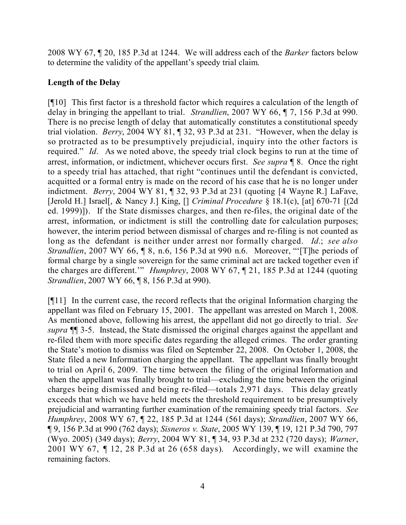2008 WY 67, ¶ 20, 185 P.3d at 1244. We will address each of the *Barker* factors below to determine the validity of the appellant's speedy trial claim.

# **Length of the Delay**

[¶10] This first factor is a threshold factor which requires a calculation of the length of delay in bringing the appellant to trial. *Strandlien*, 2007 WY 66, ¶ 7, 156 P.3d at 990. There is no precise length of delay that automatically constitutes a constitutional speedy trial violation. *Berry*, 2004 WY 81, ¶ 32, 93 P.3d at 231. "However, when the delay is so protracted as to be presumptively prejudicial, inquiry into the other factors is required." *Id*. As we noted above, the speedy trial clock begins to run at the time of arrest, information, or indictment, whichever occurs first. *See supra* ¶ 8. Once the right to a speedy trial has attached, that right "continues until the defendant is convicted, acquitted or a formal entry is made on the record of his case that he is no longer under indictment. *Berry*, 2004 WY 81, ¶ 32, 93 P.3d at 231 (quoting [4 Wayne R.] LaFave, [Jerold H.] Israel[, & Nancy J.] King, [] *Criminal Procedure* § 18.1(c), [at] 670-71 [(2d ed. 1999)]). If the State dismisses charges, and then re-files, the original date of the arrest, information, or indictment is still the controlling date for calculation purposes; however, the interim period between dismissal of charges and re-filing is not counted as long as the defendant is neither under arrest nor formally charged. *Id*.; *see also Strandlien*, 2007 WY 66, ¶ 8, n.6, 156 P.3d at 990 n.6. Moreover, "'[T]he periods of formal charge by a single sovereign for the same criminal act are tacked together even if the charges are different.'" *Humphrey*, 2008 WY 67, ¶ 21, 185 P.3d at 1244 (quoting *Strandlien*, 2007 WY 66, **[8, 156 P.3d at 990**).

[¶11] In the current case, the record reflects that the original Information charging the appellant was filed on February 15, 2001. The appellant was arrested on March 1, 2008. As mentioned above, following his arrest, the appellant did not go directly to trial. *See supra* ¶¶ 3-5. Instead, the State dismissed the original charges against the appellant and re-filed them with more specific dates regarding the alleged crimes. The order granting the State's motion to dismiss was filed on September 22, 2008. On October 1, 2008, the State filed a new Information charging the appellant. The appellant was finally brought to trial on April 6, 2009. The time between the filing of the original Information and when the appellant was finally brought to trial—excluding the time between the original charges being dismissed and being re-filed—totals 2,971 days. This delay greatly exceeds that which we have held meets the threshold requirement to be presumptively prejudicial and warranting further examination of the remaining speedy trial factors. *See Humphrey*, 2008 WY 67, ¶ 22, 185 P.3d at 1244 (561 days); *Strandlien*, 2007 WY 66, ¶ 9, 156 P.3d at 990 (762 days); *Sisneros v. State*, 2005 WY 139, ¶ 19, 121 P.3d 790, 797 (Wyo. 2005) (349 days); *Berry*, 2004 WY 81, ¶ 34, 93 P.3d at 232 (720 days); *Warner*, 2001 WY 67, ¶ 12, 28 P.3d at 26 (658 days). Accordingly, we will examine the remaining factors.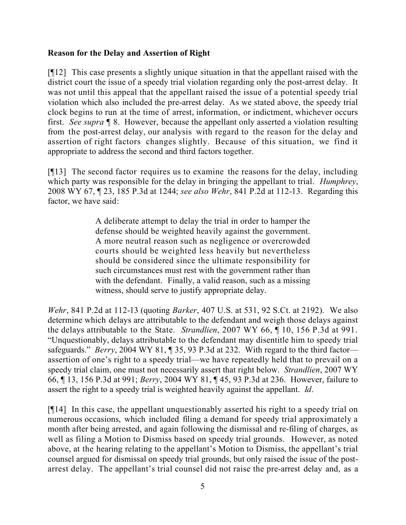### **Reason for the Delay and Assertion of Right**

[¶12] This case presents a slightly unique situation in that the appellant raised with the district court the issue of a speedy trial violation regarding only the post-arrest delay. It was not until this appeal that the appellant raised the issue of a potential speedy trial violation which also included the pre-arrest delay. As we stated above, the speedy trial clock begins to run at the time of arrest, information, or indictment, whichever occurs first. *See supra* ¶ 8. However, because the appellant only asserted a violation resulting from the post-arrest delay, our analysis with regard to the reason for the delay and assertion of right factors changes slightly. Because of this situation, we find it appropriate to address the second and third factors together.

[¶13] The second factor requires us to examine the reasons for the delay, including which party was responsible for the delay in bringing the appellant to trial. *Humphrey*, 2008 WY 67, ¶ 23, 185 P.3d at 1244; *see also Wehr*, 841 P.2d at 112-13. Regarding this factor, we have said:

> A deliberate attempt to delay the trial in order to hamper the defense should be weighted heavily against the government. A more neutral reason such as negligence or overcrowded courts should be weighted less heavily but nevertheless should be considered since the ultimate responsibility for such circumstances must rest with the government rather than with the defendant. Finally, a valid reason, such as a missing witness, should serve to justify appropriate delay.

*Wehr*, 841 P.2d at 112-13 (quoting *Barker*, 407 U.S. at 531, 92 S.Ct. at 2192). We also determine which delays are attributable to the defendant and weigh those delays against the delays attributable to the State. *Strandlien*, 2007 WY 66, ¶ 10, 156 P.3d at 991. "Unquestionably, delays attributable to the defendant may disentitle him to speedy trial safeguards." *Berry*, 2004 WY 81, ¶ 35, 93 P.3d at 232. With regard to the third factor assertion of one's right to a speedy trial—we have repeatedly held that to prevail on a speedy trial claim, one must not necessarily assert that right below. *Strandlien*, 2007 WY 66, ¶ 13, 156 P.3d at 991; *Berry*, 2004 WY 81, ¶ 45, 93 P.3d at 236. However, failure to assert the right to a speedy trial is weighted heavily against the appellant. *Id*.

[¶14] In this case, the appellant unquestionably asserted his right to a speedy trial on numerous occasions, which included filing a demand for speedy trial approximately a month after being arrested, and again following the dismissal and re-filing of charges, as well as filing a Motion to Dismiss based on speedy trial grounds. However, as noted above, at the hearing relating to the appellant's Motion to Dismiss, the appellant's trial counsel argued for dismissal on speedy trial grounds, but only raised the issue of the postarrest delay. The appellant's trial counsel did not raise the pre-arrest delay and, as a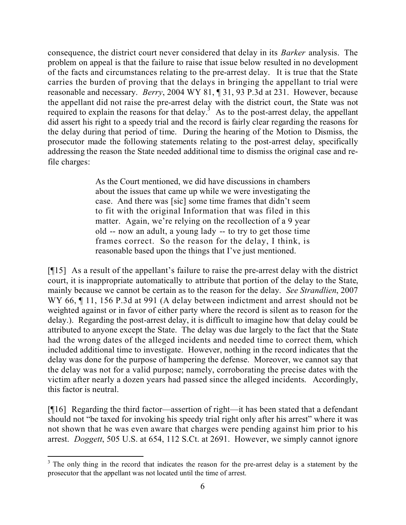consequence, the district court never considered that delay in its *Barker* analysis. The problem on appeal is that the failure to raise that issue below resulted in no development of the facts and circumstances relating to the pre-arrest delay. It is true that the State carries the burden of proving that the delays in bringing the appellant to trial were reasonable and necessary. *Berry*, 2004 WY 81, ¶ 31, 93 P.3d at 231. However, because the appellant did not raise the pre-arrest delay with the district court, the State was not required to explain the reasons for that delay.<sup>3</sup> As to the post-arrest delay, the appellant did assert his right to a speedy trial and the record is fairly clear regarding the reasons for the delay during that period of time. During the hearing of the Motion to Dismiss, the prosecutor made the following statements relating to the post-arrest delay, specifically addressing the reason the State needed additional time to dismiss the original case and refile charges:

> As the Court mentioned, we did have discussions in chambers about the issues that came up while we were investigating the case. And there was [sic] some time frames that didn't seem to fit with the original Information that was filed in this matter. Again, we're relying on the recollection of a 9 year old -- now an adult, a young lady -- to try to get those time frames correct. So the reason for the delay, I think, is reasonable based upon the things that I've just mentioned.

[¶15] As a result of the appellant's failure to raise the pre-arrest delay with the district court, it is inappropriate automatically to attribute that portion of the delay to the State, mainly because we cannot be certain as to the reason for the delay. *See Strandlien*, 2007 WY 66,  $\P$  11, 156 P.3d at 991 (A delay between indictment and arrest should not be weighted against or in favor of either party where the record is silent as to reason for the delay.). Regarding the post-arrest delay, it is difficult to imagine how that delay could be attributed to anyone except the State. The delay was due largely to the fact that the State had the wrong dates of the alleged incidents and needed time to correct them, which included additional time to investigate. However, nothing in the record indicates that the delay was done for the purpose of hampering the defense. Moreover, we cannot say that the delay was not for a valid purpose; namely, corroborating the precise dates with the victim after nearly a dozen years had passed since the alleged incidents. Accordingly, this factor is neutral.

[¶16] Regarding the third factor—assertion of right—it has been stated that a defendant should not "be taxed for invoking his speedy trial right only after his arrest" where it was not shown that he was even aware that charges were pending against him prior to his arrest. *Doggett*, 505 U.S. at 654, 112 S.Ct. at 2691. However, we simply cannot ignore

l

<sup>&</sup>lt;sup>3</sup> The only thing in the record that indicates the reason for the pre-arrest delay is a statement by the prosecutor that the appellant was not located until the time of arrest.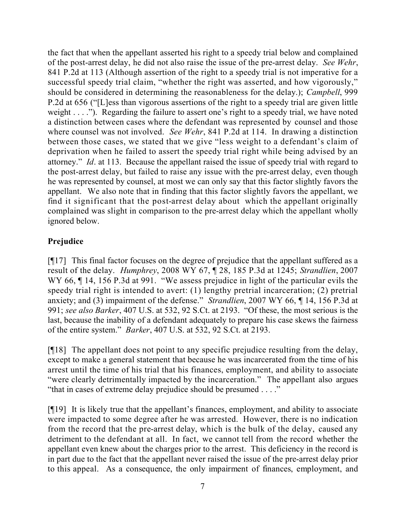the fact that when the appellant asserted his right to a speedy trial below and complained of the post-arrest delay, he did not also raise the issue of the pre-arrest delay. *See Wehr*, 841 P.2d at 113 (Although assertion of the right to a speedy trial is not imperative for a successful speedy trial claim, "whether the right was asserted, and how vigorously," should be considered in determining the reasonableness for the delay.); *Campbell*, 999 P.2d at 656 ("[L]ess than vigorous assertions of the right to a speedy trial are given little weight . . . ."). Regarding the failure to assert one's right to a speedy trial, we have noted a distinction between cases where the defendant was represented by counsel and those where counsel was not involved. *See Wehr*, 841 P.2d at 114. In drawing a distinction between those cases, we stated that we give "less weight to a defendant's claim of deprivation when he failed to assert the speedy trial right while being advised by an attorney." *Id*. at 113. Because the appellant raised the issue of speedy trial with regard to the post-arrest delay, but failed to raise any issue with the pre-arrest delay, even though he was represented by counsel, at most we can only say that this factor slightly favors the appellant. We also note that in finding that this factor slightly favors the appellant, we find it significant that the post-arrest delay about which the appellant originally complained was slight in comparison to the pre-arrest delay which the appellant wholly ignored below.

# **Prejudice**

[¶17] This final factor focuses on the degree of prejudice that the appellant suffered as a result of the delay. *Humphrey*, 2008 WY 67, ¶ 28, 185 P.3d at 1245; *Strandlien*, 2007 WY 66,  $\P$  14, 156 P.3d at 991. "We assess prejudice in light of the particular evils the speedy trial right is intended to avert: (1) lengthy pretrial incarceration; (2) pretrial anxiety; and (3) impairment of the defense." *Strandlien*, 2007 WY 66, ¶ 14, 156 P.3d at 991; *see also Barker*, 407 U.S. at 532, 92 S.Ct. at 2193. "Of these, the most serious is the last, because the inability of a defendant adequately to prepare his case skews the fairness of the entire system." *Barker*, 407 U.S. at 532, 92 S.Ct. at 2193.

[¶18] The appellant does not point to any specific prejudice resulting from the delay, except to make a general statement that because he was incarcerated from the time of his arrest until the time of his trial that his finances, employment, and ability to associate "were clearly detrimentally impacted by the incarceration." The appellant also argues "that in cases of extreme delay prejudice should be presumed . . . ."

[¶19] It is likely true that the appellant's finances, employment, and ability to associate were impacted to some degree after he was arrested. However, there is no indication from the record that the pre-arrest delay, which is the bulk of the delay, caused any detriment to the defendant at all. In fact, we cannot tell from the record whether the appellant even knew about the charges prior to the arrest. This deficiency in the record is in part due to the fact that the appellant never raised the issue of the pre-arrest delay prior to this appeal. As a consequence, the only impairment of finances, employment, and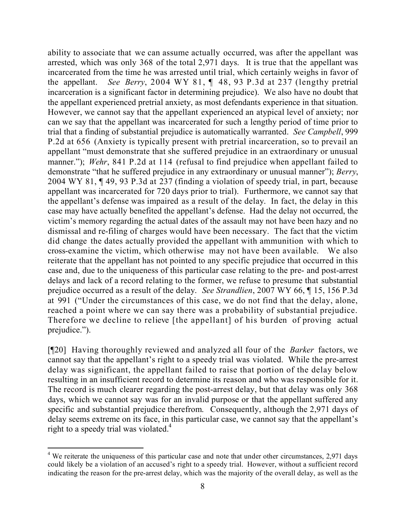ability to associate that we can assume actually occurred, was after the appellant was arrested, which was only 368 of the total 2,971 days. It is true that the appellant was incarcerated from the time he was arrested until trial, which certainly weighs in favor of the appellant. *See Berry*, 2004 WY 81, ¶ 48, 93 P.3d at 237 (lengthy pretrial incarceration is a significant factor in determining prejudice). We also have no doubt that the appellant experienced pretrial anxiety, as most defendants experience in that situation. However, we cannot say that the appellant experienced an atypical level of anxiety; nor can we say that the appellant was incarcerated for such a lengthy period of time prior to trial that a finding of substantial prejudice is automatically warranted. *See Campbell*, 999 P.2d at 656 (Anxiety is typically present with pretrial incarceration, so to prevail an appellant "must demonstrate that she suffered prejudice in an extraordinary or unusual manner."); *Wehr*, 841 P.2d at 114 (refusal to find prejudice when appellant failed to demonstrate "that he suffered prejudice in any extraordinary or unusual manner"); *Berry*, 2004 WY 81, ¶ 49, 93 P.3d at 237 (finding a violation of speedy trial, in part, because appellant was incarcerated for 720 days prior to trial). Furthermore, we cannot say that the appellant's defense was impaired as a result of the delay. In fact, the delay in this case may have actually benefited the appellant's defense. Had the delay not occurred, the victim's memory regarding the actual dates of the assault may not have been hazy and no dismissal and re-filing of charges would have been necessary. The fact that the victim did change the dates actually provided the appellant with ammunition with which to cross-examine the victim, which otherwise may not have been available. We also reiterate that the appellant has not pointed to any specific prejudice that occurred in this case and, due to the uniqueness of this particular case relating to the pre- and post-arrest delays and lack of a record relating to the former, we refuse to presume that substantial prejudice occurred as a result of the delay. *See Strandlien*, 2007 WY 66, ¶ 15, 156 P.3d at 991 ("Under the circumstances of this case, we do not find that the delay, alone, reached a point where we can say there was a probability of substantial prejudice. Therefore we decline to relieve [the appellant] of his burden of proving actual prejudice.").

[¶20] Having thoroughly reviewed and analyzed all four of the *Barker* factors, we cannot say that the appellant's right to a speedy trial was violated. While the pre-arrest delay was significant, the appellant failed to raise that portion of the delay below resulting in an insufficient record to determine its reason and who was responsible for it. The record is much clearer regarding the post-arrest delay, but that delay was only 368 days, which we cannot say was for an invalid purpose or that the appellant suffered any specific and substantial prejudice therefrom. Consequently, although the 2,971 days of delay seems extreme on its face, in this particular case, we cannot say that the appellant's right to a speedy trial was violated. $4$ 

l

<sup>&</sup>lt;sup>4</sup> We reiterate the uniqueness of this particular case and note that under other circumstances, 2,971 days could likely be a violation of an accused's right to a speedy trial. However, without a sufficient record indicating the reason for the pre-arrest delay, which was the majority of the overall delay, as well as the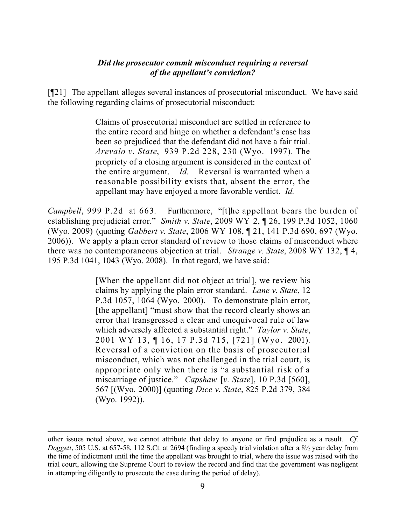### *Did the prosecutor commit misconduct requiring a reversal of the appellant's conviction?*

[¶21] The appellant alleges several instances of prosecutorial misconduct. We have said the following regarding claims of prosecutorial misconduct:

> Claims of prosecutorial misconduct are settled in reference to the entire record and hinge on whether a defendant's case has been so prejudiced that the defendant did not have a fair trial. *Arevalo v. State*, 939 P.2d 228, 230 (Wyo. 1997). The propriety of a closing argument is considered in the context of the entire argument. *Id.* Reversal is warranted when a reasonable possibility exists that, absent the error, the appellant may have enjoyed a more favorable verdict. *Id.*

*Campbell*, 999 P.2d at 663. Furthermore, "[t]he appellant bears the burden of establishing prejudicial error." *Smith v. State*, 2009 WY 2, ¶ 26, 199 P.3d 1052, 1060 (Wyo. 2009) (quoting *Gabbert v. State*, 2006 WY 108, ¶ 21, 141 P.3d 690, 697 (Wyo. 2006)). We apply a plain error standard of review to those claims of misconduct where there was no contemporaneous objection at trial. *Strange v. State*, 2008 WY 132, ¶ 4, 195 P.3d 1041, 1043 (Wyo. 2008). In that regard, we have said:

> [When the appellant did not object at trial], we review his claims by applying the plain error standard. *Lane v. State*, 12 P.3d 1057, 1064 (Wyo. 2000). To demonstrate plain error, [the appellant] "must show that the record clearly shows an error that transgressed a clear and unequivocal rule of law which adversely affected a substantial right." *Taylor v. State*, 2001 WY 13, ¶ 16, 17 P.3d 715, [721] (Wyo. 2001). Reversal of a conviction on the basis of prosecutorial misconduct, which was not challenged in the trial court, is appropriate only when there is "a substantial risk of a miscarriage of justice." *Capshaw* [*v. State*], 10 P.3d [560], 567 [(Wyo. 2000)] (quoting *Dice v. State*, 825 P.2d 379, 384 (Wyo. 1992)).

l

other issues noted above, we cannot attribute that delay to anyone or find prejudice as a result. *Cf*. *Doggett*, 505 U.S. at 657-58, 112 S.Ct. at 2694 (finding a speedy trial violation after a 8½ year delay from the time of indictment until the time the appellant was brought to trial, where the issue was raised with the trial court, allowing the Supreme Court to review the record and find that the government was negligent in attempting diligently to prosecute the case during the period of delay).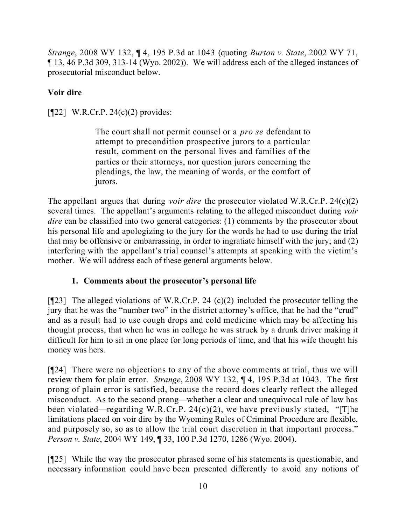*Strange*, 2008 WY 132, ¶ 4, 195 P.3d at 1043 (quoting *Burton v. State*, 2002 WY 71, ¶ 13, 46 P.3d 309, 313-14 (Wyo. 2002)). We will address each of the alleged instances of prosecutorial misconduct below.

# **Voir dire**

[¶22] W.R.Cr.P. 24(c)(2) provides:

The court shall not permit counsel or a *pro se* defendant to attempt to precondition prospective jurors to a particular result, comment on the personal lives and families of the parties or their attorneys, nor question jurors concerning the pleadings, the law, the meaning of words, or the comfort of jurors.

The appellant argues that during *voir dire* the prosecutor violated W.R.Cr.P. 24(c)(2) several times. The appellant's arguments relating to the alleged misconduct during *voir dire* can be classified into two general categories: (1) comments by the prosecutor about his personal life and apologizing to the jury for the words he had to use during the trial that may be offensive or embarrassing, in order to ingratiate himself with the jury; and (2) interfering with the appellant's trial counsel's attempts at speaking with the victim's mother. We will address each of these general arguments below.

# **1. Comments about the prosecutor's personal life**

[ $[$ [23] The alleged violations of W.R.Cr.P. 24 (c)(2) included the prosecutor telling the jury that he was the "number two" in the district attorney's office, that he had the "crud" and as a result had to use cough drops and cold medicine which may be affecting his thought process, that when he was in college he was struck by a drunk driver making it difficult for him to sit in one place for long periods of time, and that his wife thought his money was hers.

[¶24] There were no objections to any of the above comments at trial, thus we will review them for plain error. *Strange*, 2008 WY 132, ¶ 4, 195 P.3d at 1043. The first prong of plain error is satisfied, because the record does clearly reflect the alleged misconduct. As to the second prong—whether a clear and unequivocal rule of law has been violated—regarding W.R.Cr.P. 24(c)(2), we have previously stated, "[T]he limitations placed on voir dire by the Wyoming Rules of Criminal Procedure are flexible, and purposely so, so as to allow the trial court discretion in that important process." *Person v. State*, 2004 WY 149, ¶ 33, 100 P.3d 1270, 1286 (Wyo. 2004).

[¶25] While the way the prosecutor phrased some of his statements is questionable, and necessary information could have been presented differently to avoid any notions of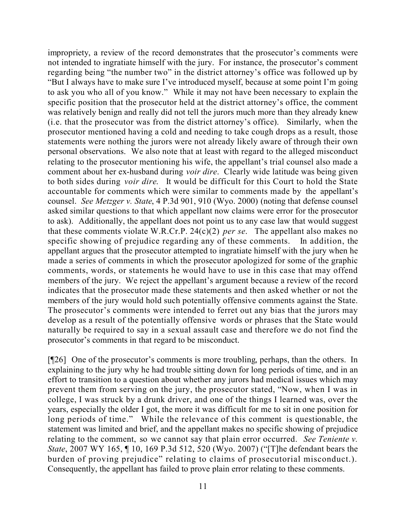impropriety, a review of the record demonstrates that the prosecutor's comments were not intended to ingratiate himself with the jury. For instance, the prosecutor's comment regarding being "the number two" in the district attorney's office was followed up by "But I always have to make sure I've introduced myself, because at some point I'm going to ask you who all of you know." While it may not have been necessary to explain the specific position that the prosecutor held at the district attorney's office, the comment was relatively benign and really did not tell the jurors much more than they already knew (i.e. that the prosecutor was from the district attorney's office). Similarly, when the prosecutor mentioned having a cold and needing to take cough drops as a result, those statements were nothing the jurors were not already likely aware of through their own personal observations. We also note that at least with regard to the alleged misconduct relating to the prosecutor mentioning his wife, the appellant's trial counsel also made a comment about her ex-husband during *voir dire*. Clearly wide latitude was being given to both sides during *voir dire*. It would be difficult for this Court to hold the State accountable for comments which were similar to comments made by the appellant's counsel. *See Metzger v. State*, 4 P.3d 901, 910 (Wyo. 2000) (noting that defense counsel asked similar questions to that which appellant now claims were error for the prosecutor to ask). Additionally, the appellant does not point us to any case law that would suggest that these comments violate W.R.Cr.P. 24(c)(2) *per se*. The appellant also makes no specific showing of prejudice regarding any of these comments. In addition, the appellant argues that the prosecutor attempted to ingratiate himself with the jury when he made a series of comments in which the prosecutor apologized for some of the graphic comments, words, or statements he would have to use in this case that may offend members of the jury. We reject the appellant's argument because a review of the record indicates that the prosecutor made these statements and then asked whether or not the members of the jury would hold such potentially offensive comments against the State. The prosecutor's comments were intended to ferret out any bias that the jurors may develop as a result of the potentially offensive words or phrases that the State would naturally be required to say in a sexual assault case and therefore we do not find the prosecutor's comments in that regard to be misconduct.

[¶26] One of the prosecutor's comments is more troubling, perhaps, than the others. In explaining to the jury why he had trouble sitting down for long periods of time, and in an effort to transition to a question about whether any jurors had medical issues which may prevent them from serving on the jury, the prosecutor stated, "Now, when I was in college, I was struck by a drunk driver, and one of the things I learned was, over the years, especially the older I got, the more it was difficult for me to sit in one position for long periods of time." While the relevance of this comment is questionable, the statement was limited and brief, and the appellant makes no specific showing of prejudice relating to the comment, so we cannot say that plain error occurred. *See Teniente v. State*, 2007 WY 165, ¶ 10, 169 P.3d 512, 520 (Wyo. 2007) ("[T]he defendant bears the burden of proving prejudice" relating to claims of prosecutorial misconduct.). Consequently, the appellant has failed to prove plain error relating to these comments.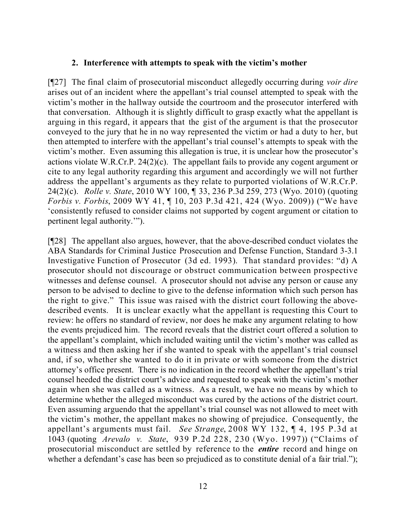#### **2. Interference with attempts to speak with the victim's mother**

[¶27] The final claim of prosecutorial misconduct allegedly occurring during *voir dire*  arises out of an incident where the appellant's trial counsel attempted to speak with the victim's mother in the hallway outside the courtroom and the prosecutor interfered with that conversation. Although it is slightly difficult to grasp exactly what the appellant is arguing in this regard, it appears that the gist of the argument is that the prosecutor conveyed to the jury that he in no way represented the victim or had a duty to her, but then attempted to interfere with the appellant's trial counsel's attempts to speak with the victim's mother. Even assuming this allegation is true, it is unclear how the prosecutor's actions violate W.R.Cr.P. 24(2)(c). The appellant fails to provide any cogent argument or cite to any legal authority regarding this argument and accordingly we will not further address the appellant's arguments as they relate to purported violations of W.R.Cr.P. 24(2)(c). *Rolle v. State*, 2010 WY 100, ¶ 33, 236 P.3d 259, 273 (Wyo. 2010) (quoting *Forbis v. Forbis*, 2009 WY 41, ¶ 10, 203 P.3d 421, 424 (Wyo. 2009)) ("We have 'consistently refused to consider claims not supported by cogent argument or citation to pertinent legal authority.'").

[¶28] The appellant also argues, however, that the above-described conduct violates the ABA Standards for Criminal Justice Prosecution and Defense Function, Standard 3-3.1 Investigative Function of Prosecutor (3d ed. 1993). That standard provides: "d) A prosecutor should not discourage or obstruct communication between prospective witnesses and defense counsel. A prosecutor should not advise any person or cause any person to be advised to decline to give to the defense information which such person has the right to give." This issue was raised with the district court following the abovedescribed events. It is unclear exactly what the appellant is requesting this Court to review: he offers no standard of review, nor does he make any argument relating to how the events prejudiced him. The record reveals that the district court offered a solution to the appellant's complaint, which included waiting until the victim's mother was called as a witness and then asking her if she wanted to speak with the appellant's trial counsel and, if so, whether she wanted to do it in private or with someone from the district attorney's office present. There is no indication in the record whether the appellant's trial counsel heeded the district court's advice and requested to speak with the victim's mother again when she was called as a witness. As a result, we have no means by which to determine whether the alleged misconduct was cured by the actions of the district court. Even assuming arguendo that the appellant's trial counsel was not allowed to meet with the victim's mother, the appellant makes no showing of prejudice. Consequently, the appellant's arguments must fail. *See Strange*, 2008 WY 132, ¶ 4, 195 P.3d at 1043 (quoting *Arevalo v. State*, 939 P.2d 228, 230 (Wyo. 1997)) ("Claims of prosecutorial misconduct are settled by reference to the *entire* record and hinge on whether a defendant's case has been so prejudiced as to constitute denial of a fair trial.");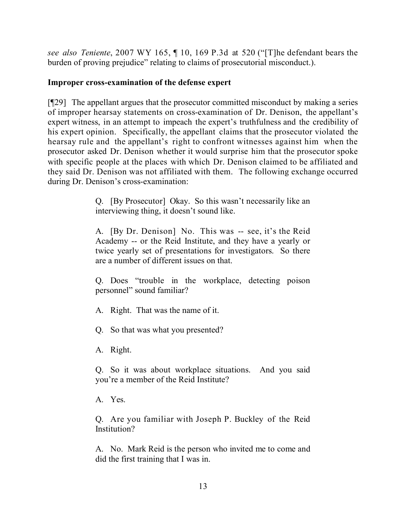*see also Teniente*, 2007 WY 165, ¶ 10, 169 P.3d at 520 ("[T]he defendant bears the burden of proving prejudice" relating to claims of prosecutorial misconduct.).

## **Improper cross-examination of the defense expert**

[¶29] The appellant argues that the prosecutor committed misconduct by making a series of improper hearsay statements on cross-examination of Dr. Denison, the appellant's expert witness, in an attempt to impeach the expert's truthfulness and the credibility of his expert opinion. Specifically, the appellant claims that the prosecutor violated the hearsay rule and the appellant's right to confront witnesses against him when the prosecutor asked Dr. Denison whether it would surprise him that the prosecutor spoke with specific people at the places with which Dr. Denison claimed to be affiliated and they said Dr. Denison was not affiliated with them. The following exchange occurred during Dr. Denison's cross-examination:

> Q. [By Prosecutor] Okay. So this wasn't necessarily like an interviewing thing, it doesn't sound like.

> A. [By Dr. Denison] No. This was -- see, it's the Reid Academy -- or the Reid Institute, and they have a yearly or twice yearly set of presentations for investigators. So there are a number of different issues on that.

> Q. Does "trouble in the workplace, detecting poison personnel" sound familiar?

A. Right. That was the name of it.

Q. So that was what you presented?

A. Right.

Q. So it was about workplace situations. And you said you're a member of the Reid Institute?

A. Yes.

Q. Are you familiar with Joseph P. Buckley of the Reid Institution?

A. No. Mark Reid is the person who invited me to come and did the first training that I was in.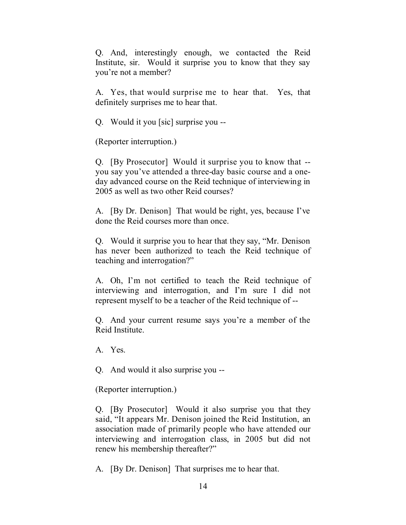Q. And, interestingly enough, we contacted the Reid Institute, sir. Would it surprise you to know that they say you're not a member?

A. Yes, that would surprise me to hear that. Yes, that definitely surprises me to hear that.

Q. Would it you [sic] surprise you --

(Reporter interruption.)

Q. [By Prosecutor] Would it surprise you to know that - you say you've attended a three-day basic course and a oneday advanced course on the Reid technique of interviewing in 2005 as well as two other Reid courses?

A. [By Dr. Denison] That would be right, yes, because I've done the Reid courses more than once.

Q. Would it surprise you to hear that they say, "Mr. Denison has never been authorized to teach the Reid technique of teaching and interrogation?"

A. Oh, I'm not certified to teach the Reid technique of interviewing and interrogation, and I'm sure I did not represent myself to be a teacher of the Reid technique of --

Q. And your current resume says you're a member of the Reid Institute.

A. Yes.

Q. And would it also surprise you --

(Reporter interruption.)

Q. [By Prosecutor] Would it also surprise you that they said, "It appears Mr. Denison joined the Reid Institution, an association made of primarily people who have attended our interviewing and interrogation class, in 2005 but did not renew his membership thereafter?"

A. [By Dr. Denison] That surprises me to hear that.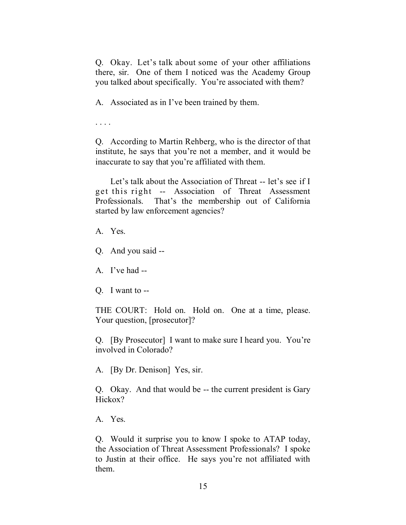Q. Okay. Let's talk about some of your other affiliations there, sir. One of them I noticed was the Academy Group you talked about specifically. You're associated with them?

A. Associated as in I've been trained by them.

. . . .

Q. According to Martin Rehberg, who is the director of that institute, he says that you're not a member, and it would be inaccurate to say that you're affiliated with them.

Let's talk about the Association of Threat -- let's see if I get this right -- Association of Threat Assessment Professionals. That's the membership out of California started by law enforcement agencies?

A. Yes.

Q. And you said --

A. I've had --

Q. I want to --

THE COURT: Hold on. Hold on. One at a time, please. Your question, [prosecutor]?

Q. [By Prosecutor] I want to make sure I heard you. You're involved in Colorado?

A. [By Dr. Denison] Yes, sir.

Q. Okay. And that would be -- the current president is Gary Hickox?

A. Yes.

Q. Would it surprise you to know I spoke to ATAP today, the Association of Threat Assessment Professionals? I spoke to Justin at their office. He says you're not affiliated with them.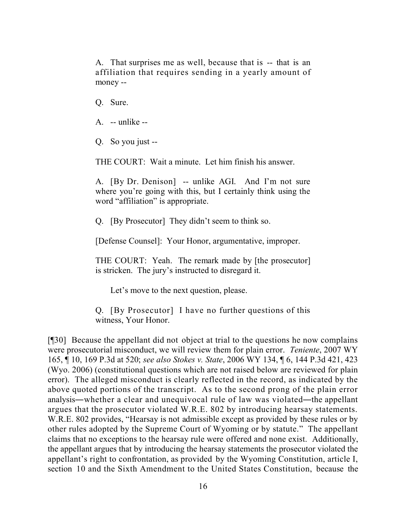A. That surprises me as well, because that is -- that is an affiliation that requires sending in a yearly amount of money --

Q. Sure.

- A. -- unlike --
- Q. So you just --

THE COURT: Wait a minute. Let him finish his answer.

A. [By Dr. Denison] -- unlike AGI. And I'm not sure where you're going with this, but I certainly think using the word "affiliation" is appropriate.

Q. [By Prosecutor] They didn't seem to think so.

[Defense Counsel]: Your Honor, argumentative, improper.

THE COURT: Yeah. The remark made by [the prosecutor] is stricken. The jury's instructed to disregard it.

Let's move to the next question, please.

Q. [By Prosecutor] I have no further questions of this witness, Your Honor.

[¶30] Because the appellant did not object at trial to the questions he now complains were prosecutorial misconduct, we will review them for plain error. *Teniente*, 2007 WY 165, ¶ 10, 169 P.3d at 520; *see also Stokes v. State*, 2006 WY 134, ¶ 6, 144 P.3d 421, 423 (Wyo. 2006) (constitutional questions which are not raised below are reviewed for plain error). The alleged misconduct is clearly reflected in the record, as indicated by the above quoted portions of the transcript. As to the second prong of the plain error analysis―whether a clear and unequivocal rule of law was violated―the appellant argues that the prosecutor violated W.R.E. 802 by introducing hearsay statements. W.R.E. 802 provides, "Hearsay is not admissible except as provided by these rules or by other rules adopted by the Supreme Court of Wyoming or by statute." The appellant claims that no exceptions to the hearsay rule were offered and none exist. Additionally, the appellant argues that by introducing the hearsay statements the prosecutor violated the appellant's right to confrontation, as provided by the Wyoming Constitution, article I, section 10 and the Sixth Amendment to the United States Constitution, because the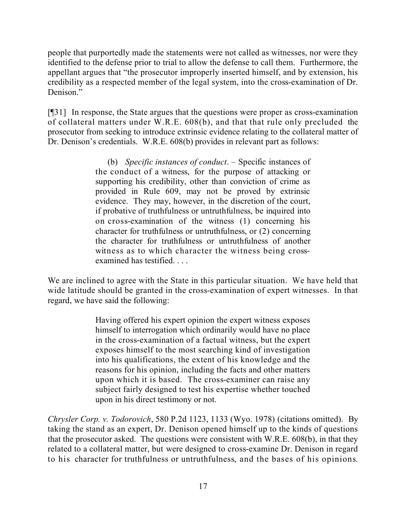people that purportedly made the statements were not called as witnesses, nor were they identified to the defense prior to trial to allow the defense to call them. Furthermore, the appellant argues that "the prosecutor improperly inserted himself, and by extension, his credibility as a respected member of the legal system, into the cross-examination of Dr. Denison<sup>"</sup>

[¶31] In response, the State argues that the questions were proper as cross-examination of collateral matters under W.R.E. 608(b), and that that rule only precluded the prosecutor from seeking to introduce extrinsic evidence relating to the collateral matter of Dr. Denison's credentials. W.R.E. 608(b) provides in relevant part as follows:

> (b) *Specific instances of conduct*. – Specific instances of the conduct of a witness, for the purpose of attacking or supporting his credibility, other than conviction of crime as provided in Rule 609, may not be proved by extrinsic evidence. They may, however, in the discretion of the court, if probative of truthfulness or untruthfulness, be inquired into on cross-examination of the witness (1) concerning his character for truthfulness or untruthfulness, or (2) concerning the character for truthfulness or untruthfulness of another witness as to which character the witness being crossexamined has testified. . . .

We are inclined to agree with the State in this particular situation. We have held that wide latitude should be granted in the cross-examination of expert witnesses. In that regard, we have said the following:

> Having offered his expert opinion the expert witness exposes himself to interrogation which ordinarily would have no place in the cross-examination of a factual witness, but the expert exposes himself to the most searching kind of investigation into his qualifications, the extent of his knowledge and the reasons for his opinion, including the facts and other matters upon which it is based. The cross-examiner can raise any subject fairly designed to test his expertise whether touched upon in his direct testimony or not.

*Chrysler Corp. v. Todorovich*, 580 P.2d 1123, 1133 (Wyo. 1978) (citations omitted). By taking the stand as an expert, Dr. Denison opened himself up to the kinds of questions that the prosecutor asked. The questions were consistent with W.R.E. 608(b), in that they related to a collateral matter, but were designed to cross-examine Dr. Denison in regard to his character for truthfulness or untruthfulness, and the bases of his opinions.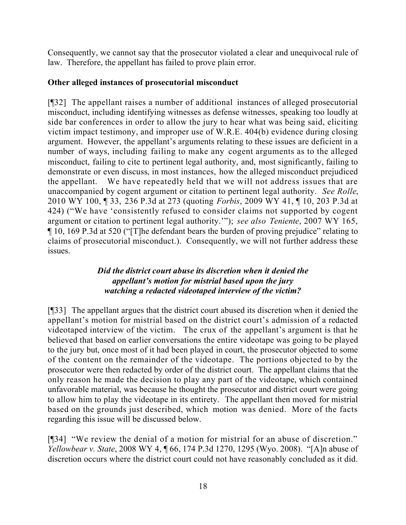Consequently, we cannot say that the prosecutor violated a clear and unequivocal rule of law. Therefore, the appellant has failed to prove plain error.

# **Other alleged instances of prosecutorial misconduct**

[¶32] The appellant raises a number of additional instances of alleged prosecutorial misconduct, including identifying witnesses as defense witnesses, speaking too loudly at side bar conferences in order to allow the jury to hear what was being said, eliciting victim impact testimony, and improper use of W.R.E. 404(b) evidence during closing argument. However, the appellant's arguments relating to these issues are deficient in a number of ways, including failing to make any cogent arguments as to the alleged misconduct, failing to cite to pertinent legal authority, and, most significantly, failing to demonstrate or even discuss, in most instances, how the alleged misconduct prejudiced the appellant. We have repeatedly held that we will not address issues that are unaccompanied by cogent argument or citation to pertinent legal authority. *See Rolle*, 2010 WY 100, ¶ 33, 236 P.3d at 273 (quoting *Forbis*, 2009 WY 41, ¶ 10, 203 P.3d at 424) ("We have 'consistently refused to consider claims not supported by cogent argument or citation to pertinent legal authority.'"); *see also Teniente*, 2007 WY 165, ¶ 10, 169 P.3d at 520 ("[T]he defendant bears the burden of proving prejudice" relating to claims of prosecutorial misconduct.). Consequently, we will not further address these issues.

# *Did the district court abuse its discretion when it denied the appellant's motion for mistrial based upon the jury watching a redacted videotaped interview of the victim?*

[¶33] The appellant argues that the district court abused its discretion when it denied the appellant's motion for mistrial based on the district court's admission of a redacted videotaped interview of the victim. The crux of the appellant's argument is that he believed that based on earlier conversations the entire videotape was going to be played to the jury but, once most of it had been played in court, the prosecutor objected to some of the content on the remainder of the videotape. The portions objected to by the prosecutor were then redacted by order of the district court. The appellant claims that the only reason he made the decision to play any part of the videotape, which contained unfavorable material, was because he thought the prosecutor and district court were going to allow him to play the videotape in its entirety. The appellant then moved for mistrial based on the grounds just described, which motion was denied. More of the facts regarding this issue will be discussed below.

[¶34] "We review the denial of a motion for mistrial for an abuse of discretion." *Yellowbear v. State*, 2008 WY 4, ¶ 66, 174 P.3d 1270, 1295 (Wyo. 2008). "[A]n abuse of discretion occurs where the district court could not have reasonably concluded as it did.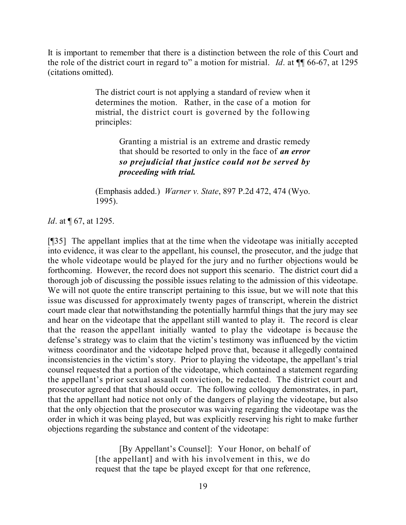It is important to remember that there is a distinction between the role of this Court and the role of the district court in regard to" a motion for mistrial. *Id*. at ¶¶ 66-67, at 1295 (citations omitted).

> The district court is not applying a standard of review when it determines the motion. Rather, in the case of a motion for mistrial, the district court is governed by the following principles:

> > Granting a mistrial is an extreme and drastic remedy that should be resorted to only in the face of *an error so prejudicial that justice could not be served by proceeding with trial.*

(Emphasis added.) *Warner v. State*, 897 P.2d 472, 474 (Wyo. 1995).

*Id.* at  $\sqrt{67}$ , at 1295.

[¶35] The appellant implies that at the time when the videotape was initially accepted into evidence, it was clear to the appellant, his counsel, the prosecutor, and the judge that the whole videotape would be played for the jury and no further objections would be forthcoming. However, the record does not support this scenario. The district court did a thorough job of discussing the possible issues relating to the admission of this videotape. We will not quote the entire transcript pertaining to this issue, but we will note that this issue was discussed for approximately twenty pages of transcript, wherein the district court made clear that notwithstanding the potentially harmful things that the jury may see and hear on the videotape that the appellant still wanted to play it. The record is clear that the reason the appellant initially wanted to play the videotape is because the defense's strategy was to claim that the victim's testimony was influenced by the victim witness coordinator and the videotape helped prove that, because it allegedly contained inconsistencies in the victim's story. Prior to playing the videotape, the appellant's trial counsel requested that a portion of the videotape, which contained a statement regarding the appellant's prior sexual assault conviction, be redacted. The district court and prosecutor agreed that that should occur. The following colloquy demonstrates, in part, that the appellant had notice not only of the dangers of playing the videotape, but also that the only objection that the prosecutor was waiving regarding the videotape was the order in which it was being played, but was explicitly reserving his right to make further objections regarding the substance and content of the videotape:

> [By Appellant's Counsel]: Your Honor, on behalf of [the appellant] and with his involvement in this, we do request that the tape be played except for that one reference,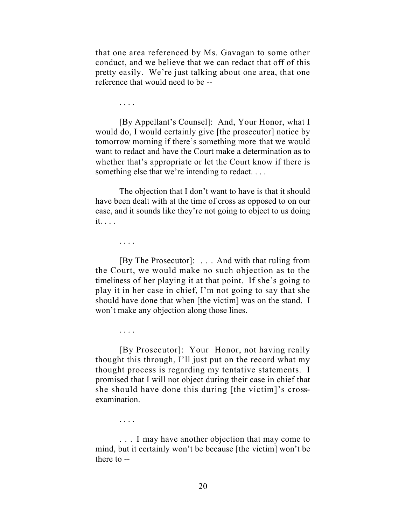that one area referenced by Ms. Gavagan to some other conduct, and we believe that we can redact that off of this pretty easily. We're just talking about one area, that one reference that would need to be --

. . . .

[By Appellant's Counsel]: And, Your Honor, what I would do, I would certainly give [the prosecutor] notice by tomorrow morning if there's something more that we would want to redact and have the Court make a determination as to whether that's appropriate or let the Court know if there is something else that we're intending to redact....

The objection that I don't want to have is that it should have been dealt with at the time of cross as opposed to on our case, and it sounds like they're not going to object to us doing it. . . .

. . . .

. . . .

[By The Prosecutor]: . . . And with that ruling from the Court, we would make no such objection as to the timeliness of her playing it at that point. If she's going to play it in her case in chief, I'm not going to say that she should have done that when [the victim] was on the stand. I won't make any objection along those lines.

[By Prosecutor]: Your Honor, not having really thought this through, I'll just put on the record what my thought process is regarding my tentative statements. I promised that I will not object during their case in chief that she should have done this during [the victim]'s crossexamination.

. . . .

... I may have another objection that may come to mind, but it certainly won't be because [the victim] won't be there to --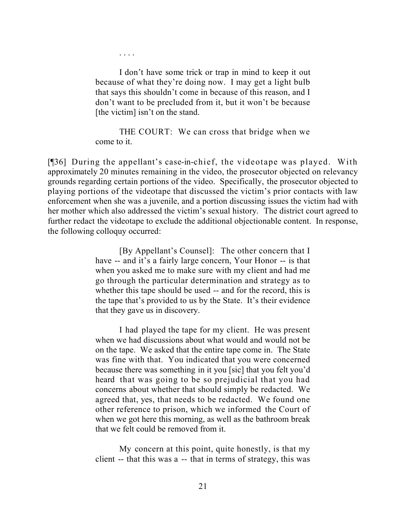I don't have some trick or trap in mind to keep it out because of what they're doing now. I may get a light bulb that says this shouldn't come in because of this reason, and I don't want to be precluded from it, but it won't be because [the victim] isn't on the stand.

. . . .

THE COURT: We can cross that bridge when we come to it.

[¶36] During the appellant's case-in-chief, the videotape was played. With approximately 20 minutes remaining in the video, the prosecutor objected on relevancy grounds regarding certain portions of the video. Specifically, the prosecutor objected to playing portions of the videotape that discussed the victim's prior contacts with law enforcement when she was a juvenile, and a portion discussing issues the victim had with her mother which also addressed the victim's sexual history. The district court agreed to further redact the videotape to exclude the additional objectionable content. In response, the following colloquy occurred:

> [By Appellant's Counsel]: The other concern that I have -- and it's a fairly large concern, Your Honor -- is that when you asked me to make sure with my client and had me go through the particular determination and strategy as to whether this tape should be used -- and for the record, this is the tape that's provided to us by the State. It's their evidence that they gave us in discovery.

> I had played the tape for my client. He was present when we had discussions about what would and would not be on the tape. We asked that the entire tape come in. The State was fine with that. You indicated that you were concerned because there was something in it you [sic] that you felt you'd heard that was going to be so prejudicial that you had concerns about whether that should simply be redacted. We agreed that, yes, that needs to be redacted. We found one other reference to prison, which we informed the Court of when we got here this morning, as well as the bathroom break that we felt could be removed from it.

> My concern at this point, quite honestly, is that my client -- that this was a -- that in terms of strategy, this was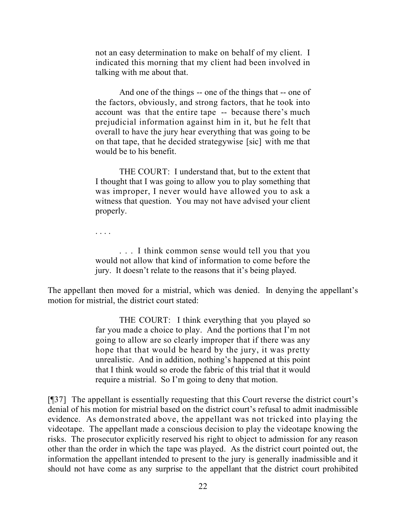not an easy determination to make on behalf of my client. I indicated this morning that my client had been involved in talking with me about that.

And one of the things -- one of the things that -- one of the factors, obviously, and strong factors, that he took into account was that the entire tape -- because there's much prejudicial information against him in it, but he felt that overall to have the jury hear everything that was going to be on that tape, that he decided strategywise [sic] with me that would be to his benefit.

THE COURT: I understand that, but to the extent that I thought that I was going to allow you to play something that was improper, I never would have allowed you to ask a witness that question. You may not have advised your client properly.

. . . .

... I think common sense would tell you that you would not allow that kind of information to come before the jury. It doesn't relate to the reasons that it's being played.

The appellant then moved for a mistrial, which was denied. In denying the appellant's motion for mistrial, the district court stated:

> THE COURT: I think everything that you played so far you made a choice to play. And the portions that I'm not going to allow are so clearly improper that if there was any hope that that would be heard by the jury, it was pretty unrealistic. And in addition, nothing's happened at this point that I think would so erode the fabric of this trial that it would require a mistrial. So I'm going to deny that motion.

[¶37] The appellant is essentially requesting that this Court reverse the district court's denial of his motion for mistrial based on the district court's refusal to admit inadmissible evidence. As demonstrated above, the appellant was not tricked into playing the videotape. The appellant made a conscious decision to play the videotape knowing the risks. The prosecutor explicitly reserved his right to object to admission for any reason other than the order in which the tape was played. As the district court pointed out, the information the appellant intended to present to the jury is generally inadmissible and it should not have come as any surprise to the appellant that the district court prohibited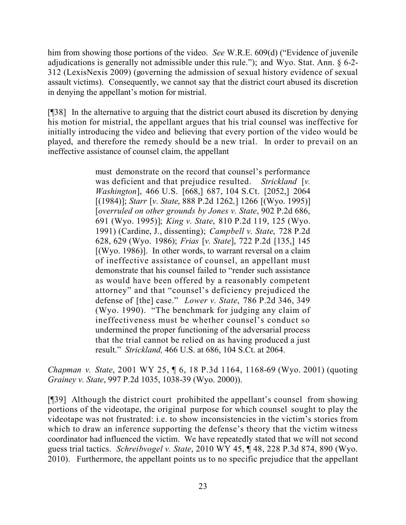him from showing those portions of the video. *See* W.R.E. 609(d) ("Evidence of juvenile adjudications is generally not admissible under this rule."); and Wyo. Stat. Ann. § 6-2- 312 (LexisNexis 2009) (governing the admission of sexual history evidence of sexual assault victims). Consequently, we cannot say that the district court abused its discretion in denying the appellant's motion for mistrial.

[¶38] In the alternative to arguing that the district court abused its discretion by denying his motion for mistrial, the appellant argues that his trial counsel was ineffective for initially introducing the video and believing that every portion of the video would be played, and therefore the remedy should be a new trial. In order to prevail on an ineffective assistance of counsel claim, the appellant

> must demonstrate on the record that counsel's performance was deficient and that prejudice resulted. *Strickland* [*v. Washington*], 466 U.S. [668,] 687, 104 S.Ct. [2052,] 2064 [(1984)]; *Starr* [*v. State*, 888 P.2d 1262*,*] 1266 [(Wyo. 1995)] [*overruled on other grounds by Jones v. State*, 902 P.2d 686, 691 (Wyo. 1995)]; *King v. State*, 810 P.2d 119, 125 (Wyo. 1991) (Cardine, J., dissenting); *Campbell v. State*, 728 P.2d 628, 629 (Wyo. 1986); *Frias* [*v. State*], 722 P.2d [135,] 145  $[(Wyo. 1986)]$ . In other words, to warrant reversal on a claim of ineffective assistance of counsel, an appellant must demonstrate that his counsel failed to "render such assistance as would have been offered by a reasonably competent attorney" and that "counsel's deficiency prejudiced the defense of [the] case." *Lower v. State*, 786 P.2d 346, 349 (Wyo. 1990). "The benchmark for judging any claim of ineffectiveness must be whether counsel's conduct so undermined the proper functioning of the adversarial process that the trial cannot be relied on as having produced a just result." *Strickland,* 466 U.S. at 686, 104 S.Ct. at 2064.

*Chapman v. State*, 2001 WY 25, ¶ 6, 18 P.3d 1164, 1168-69 (Wyo. 2001) (quoting *Grainey v. State*, 997 P.2d 1035, 1038-39 (Wyo. 2000)).

[¶39] Although the district court prohibited the appellant's counsel from showing portions of the videotape, the original purpose for which counsel sought to play the videotape was not frustrated: i.e. to show inconsistencies in the victim's stories from which to draw an inference supporting the defense's theory that the victim witness coordinator had influenced the victim. We have repeatedly stated that we will not second guess trial tactics. *Schreibvogel v. State*, 2010 WY 45, ¶ 48, 228 P.3d 874, 890 (Wyo. 2010). Furthermore, the appellant points us to no specific prejudice that the appellant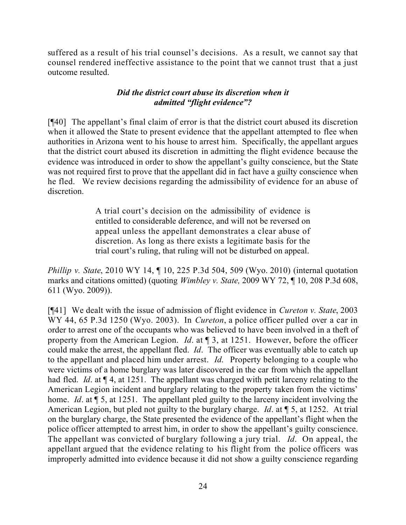suffered as a result of his trial counsel's decisions. As a result, we cannot say that counsel rendered ineffective assistance to the point that we cannot trust that a just outcome resulted.

### *Did the district court abuse its discretion when it admitted "flight evidence"?*

[¶40] The appellant's final claim of error is that the district court abused its discretion when it allowed the State to present evidence that the appellant attempted to flee when authorities in Arizona went to his house to arrest him. Specifically, the appellant argues that the district court abused its discretion in admitting the flight evidence because the evidence was introduced in order to show the appellant's guilty conscience, but the State was not required first to prove that the appellant did in fact have a guilty conscience when he fled. We review decisions regarding the admissibility of evidence for an abuse of discretion.

> A trial court's decision on the admissibility of evidence is entitled to considerable deference, and will not be reversed on appeal unless the appellant demonstrates a clear abuse of discretion. As long as there exists a legitimate basis for the trial court's ruling, that ruling will not be disturbed on appeal.

*Phillip v. State*, 2010 WY 14, ¶ 10, 225 P.3d 504, 509 (Wyo. 2010) (internal quotation marks and citations omitted) (quoting *Wimbley v. State,* 2009 WY 72, ¶ 10, 208 P.3d 608, 611 (Wyo. 2009)).

[¶41] We dealt with the issue of admission of flight evidence in *Cureton v. State*, 2003 WY 44, 65 P.3d 1250 (Wyo. 2003). In *Cureton*, a police officer pulled over a car in order to arrest one of the occupants who was believed to have been involved in a theft of property from the American Legion. *Id*. at ¶ 3, at 1251. However, before the officer could make the arrest, the appellant fled. *Id*. The officer was eventually able to catch up to the appellant and placed him under arrest. *Id*. Property belonging to a couple who were victims of a home burglary was later discovered in the car from which the appellant had fled. *Id*. at ¶ 4, at 1251. The appellant was charged with petit larceny relating to the American Legion incident and burglary relating to the property taken from the victims' home. *Id*. at ¶ 5, at 1251. The appellant pled guilty to the larceny incident involving the American Legion, but pled not guilty to the burglary charge. *Id*. at ¶ 5, at 1252. At trial on the burglary charge, the State presented the evidence of the appellant's flight when the police officer attempted to arrest him, in order to show the appellant's guilty conscience. The appellant was convicted of burglary following a jury trial. *Id*. On appeal, the appellant argued that the evidence relating to his flight from the police officers was improperly admitted into evidence because it did not show a guilty conscience regarding